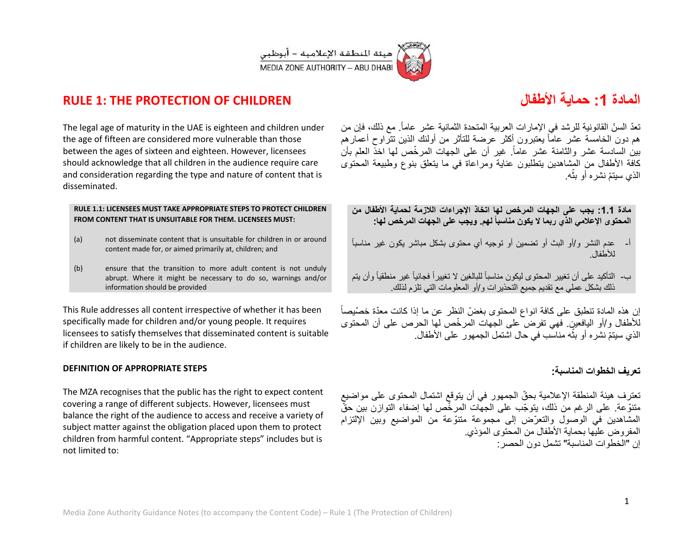

# **RULE 1: THE PROTECTION OF CHILDREN األطفال ةٌحما :1 المادة**

The legal age of maturity in the UAE is eighteen and children under the age of fifteen are considered more vulnerable than those between the ages of sixteen and eighteen. However, licensees should acknowledge that all children in the audience require care and consideration regarding the type and nature of content that is disseminated.

#### **RULE 1.1: LICENSEES MUST TAKE APPROPRIATE STEPS TO PROTECT CHILDREN FROM CONTENT THAT IS UNSUITABLE FOR THEM. LICENSEES MUST:**

- (a) not disseminate content that is unsuitable for children in or around content made for, or aimed primarily at, children; and
- (b) ensure that the transition to more adult content is not unduly abrupt. Where it might be necessary to do so, warnings and/or information should be provided

This Rule addresses all content irrespective of whether it has been specifically made for children and/or young people. It requires licensees to satisfy themselves that disseminated content is suitable if children are likely to be in the audience.

### **DEFINITION OF APPROPRIATE STEPS**

The MZA recognises that the public has the right to expect content covering a range of different subjects. However, licensees must balance the right of the audience to access and receive a variety of subject matter against the obligation placed upon them to protect children from harmful content. "Appropriate steps" includes but is not limited to:

تعدّ السنّ القانونية للرشد في الإمارات العربية المتحدة الثمانية عشر عاماً. مع ذلك، فإن من هم دون الخامسة عشر عامًا يعتبرون أكثر عرضة للتأثر من أولئك الذين تتراوح أعمارهم بين السادسة عشر والثامنة عشر عاماً<sub>.</sub> غير أن على الجهات المرخّص لها اخذّ العلم بأن كافة الأطفال من المشاهدين يتطلبون عناية ومراعاة في ما يتعلق بنوع وطبيعة المحتوى الذي سيتمّ نشره أو بثه. ֧֧֦֧֦֧֦֧֧֦֧֪֦֧֪֦֧֦֟֟֓֕֓֕֓֝֝֬֝֬֟֓֝֬֟֝֬֟֝֬֓֞֓**֓** 

**مادة :1.1 ٌجب على الجهات المرخص لها اتخاذ اإلجراءات الالزمة لحماٌة األطفال من المحتوى اإلعالمً الذي ربما ال ٌكون مناسباً لهم. وٌجب على الجهات المرخص لها:**

- أ- عدم النشر و/أو البث أو تضمين أو توجيه أي محتوى بشكل مباشر يكون غير مناسباً لألطفال.
- ب- التأكيد على أن تغيير المحتوى ليكون مناسباً للبالغين لا تغييراً فجائياً غير منطقياً وأن يتم ذلك بشكل عملي مع تقديم جميع التحذير ات و/أو المعلومات التي تلزم لذلك.

إن هذه المادة تنطبق على كافة انواع المحتوى بغضّ النظر عن ما إذا كانت معدّة خصّبصاً للأطفال و/أو اليافعين. فهي تفرض على الجهات المرخّص لها الحرص على أن المحتوى الذي سيتمّ نشره أو بثه مناسب في حال اشتمل الجمهور على الأطفال. ֧֦֧֦֧֦֧֦֧֦֧֪֦֧֦֟֟֓֕֝֝֬֝֬֝֬֟֝֬**֞** 

## **تعرٌف الخطوات المناسبة:**

تعترف هيئة المنطقة الإعلامية بحقّ الجمهور في أن يتوقع اشتمال المحتوى على مواضيع متنوّعة. على الرغم من ذلك، يتوجّب على الجهّات المرخّص لها إضفاء التوازن بين حقّ المشاهدين في الوصول والتعرّض إلى مجموعة متنوّعة من المواضيع وبين الإلتزام المفر وض عليها بحماية الأطفال من المحتوى المؤذي. إن "الخطوات المناسبة" تشمل دون الحصر: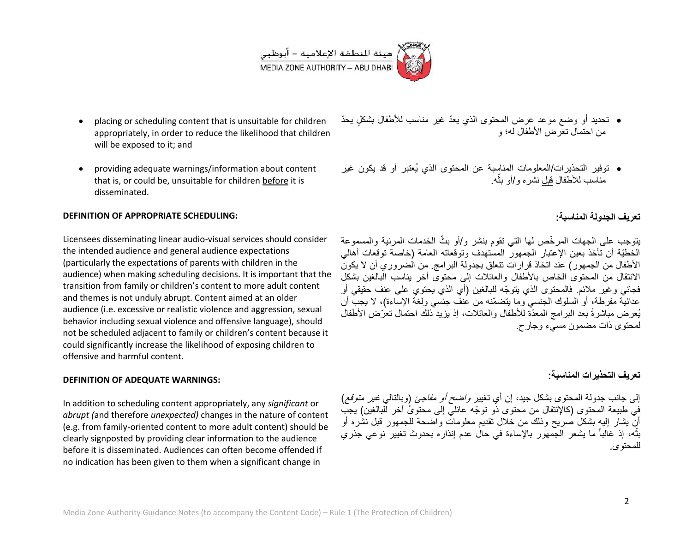

- placing or scheduling content that is unsuitable for children appropriately, in order to reduce the likelihood that children will be exposed to it; and
- providing adequate warnings/information about content that is, or could be, unsuitable for children before it is disseminated.

#### **DEFINITION OF APPROPRIATE SCHEDULING:**

Licensees disseminating linear audio-visual services should consider the intended audience and general audience expectations (particularly the expectations of parents with children in the audience) when making scheduling decisions. It is important that the transition from family or children's content to more adult content and themes is not unduly abrupt. Content aimed at an older audience (i.e. excessive or realistic violence and aggression, sexual behavior including sexual violence and offensive language), should not be scheduled adjacent to family or children's content because it could significantly increase the likelihood of exposing children to offensive and harmful content.

#### **DEFINITION OF ADEQUATE WARNINGS:**

In addition to scheduling content appropriately, any *significant* or *abrupt (*and therefore *unexpected)* changes in the nature of content (e.g. from family-oriented content to more adult content) should be clearly signposted by providing clear information to the audience before it is disseminated. Audiences can often become offended if no indication has been given to them when a significant change in

- تحديد أو وضع موعد عرض المحتوى الذي يعدّ غير مناسب للأطفال بشكلٍ يحدّ من احتمال تعرض الأطفال له؛ و
- توفير التحذيرات/المعلومات المناسبة عن المحتوى الذي يُعتبر أو قد يكون غير ֦֧֦֦֦֧֦֧֦֝֝֝֝**֓** مناسب للأطفال <u>قبل</u> نشره و/أو بثه<sub>.</sub>

## **تعرٌف الجدولة المناسبة:**

يتوجب على الجهات المرخّص لمها التي تقوم بنشر و/أو بثّ الخدمات المرئية والمسموعة الخطيّة أن تأخذ بعين الإعتبار الجمهور المستهدف وتوقعاته العامة (خاصة توقعات أهالي األطفال من الجمهور( عند اتخاذ قرارات تتعلق بجدولة البرامج. من الضروري أن ال ٌكون الانتقال من المحتوى الخاص بالأطفال والعائلات إلى محتوى أخر بناسب البالغين بشكل فجائي وغير ملائم. فالمحتوى الذي يتوجّه للبالغين (أي الذي يحتوي على عنف حقيقي أو عدائيّة مفرطة، أو السلوك الجنسي وما يتضمّنه من عنف جنسي ولغة الإساءة)، لا يجبّ أن يُعرض مباشرةً بعد البرامج المعدّة للأطفال والعائلات، إذ يزيد ذلك احتمال تعرّض الأطفال لمحتوى ذات مضمون مسًء وجارح.

### **تعرٌف التحذٌرات المناسبة:**

إلى جانب جدولة المحتوى بشكل جيد، إن أي تغيير *واضح أو مفاجئ* (وبالتالي *غير متوقع)* في طبيعة المحتوى (كالإنتقال من محتوى ذو توجّه عائلي إلى محتوىً آخر للبالغين) يجب أن بشار إليه بشكل صريح وذلك من خلال تقديم معلومات واضحة للجمهور قبل نشره أو بثُّه، إذ غالباً ما يشعر الجمهور بالإساءة فى حال عدم إنذاره بحدوث تغيير نوعى جذري **:بال** للمحتوى.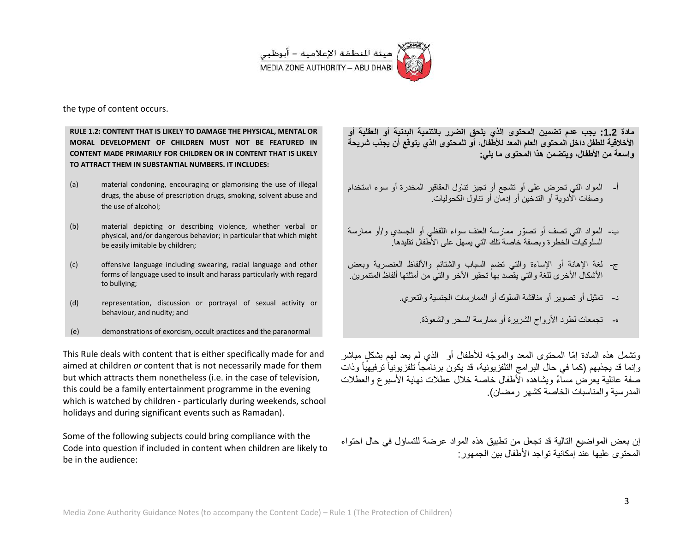

the type of content occurs.

**RULE 1.2: CONTENT THAT IS LIKELY TO DAMAGE THE PHYSICAL, MENTAL OR MORAL DEVELOPMENT OF CHILDREN MUST NOT BE FEATURED IN CONTENT MADE PRIMARILY FOR CHILDREN OR IN CONTENT THAT IS LIKELY TO ATTRACT THEM IN SUBSTANTIAL NUMBERS. IT INCLUDES:** 

- (a) material condoning, encouraging or glamorising the use of illegal drugs, the abuse of prescription drugs, smoking, solvent abuse and the use of alcohol;
- (b) material depicting or describing violence, whether verbal or physical, and/or dangerous behavior; in particular that which might be easily imitable by children;
- (c) offensive language including swearing, racial language and other forms of language used to insult and harass particularly with regard to bullying;
- (d) representation, discussion or portrayal of sexual activity or behaviour, and nudity; and
- (e) demonstrations of exorcism, occult practices and the paranormal

This Rule deals with content that is either specifically made for and aimed at children *or* content that is not necessarily made for them but which attracts them nonetheless (i.e. in the case of television, this could be a family entertainment programme in the evening which is watched by children - particularly during weekends, school holidays and during significant events such as Ramadan).

Some of the following subjects could bring compliance with the Code into question if included in content when children are likely to be in the audience:

مادة 1**.2: يجب عدم تضمين المحتوى الذي يلحق الضرر بالتنمية البدنية أو العقلية أو األخالقٌة للطفل داخل المحتوى العام المعد لألطفال، أو للمحتوى الذي ٌتوقع أن ٌجذب شرٌحة**  و اسعة من الأطفال، ويتضمن هذا المحتوى ما يل*ي*:

- أ- المواد التي تحرض على أو تشجع أو تجيز تناول العقاقير المخدرة أو سوء استخدام وصفات الأدوية أو التدخين أو إدمان أو تناول الكحوليات.
- ب- المواد التي تصف أو تصوّر ممارسة العنف سواء اللفظي أو الجسدي و/أو ممارسة السلوكيات الخطرة وبصفة خاصة تلك التي يسهل على الأطفال تقليدها.
- ج- لغة الإهانة أو الإساءة والتي تضم السباب والشتائم والألفاظ العنصرية وبعض الأشكال الأخرى للغة والتي بقصد بها تحقير الأخر والتي من أمثلتها ألفاظ المتنمر بن.
	- د- تمثيل أو تصوير أو مناقشة السلوك أو الممارسات الجنسية والتعري.
		- ه- تجمعات لطرد األرواح الشرٌرة أو ممارسة السحر والشعوذة.

وتشمل هذه المادة إمّا المحتوى المعد والموجّه للأطفال أو الذي لم يعد لهم بشكل مباشر وإنما قد يجذبهم (كما في حال البرامج التلفزيونية، قد يكون برنامجاً تلفزيونياً ترفيهياً وذات صفة عائلية يعرض مساءً ويشاهده الأطفال خاصة خلال عطلات نهاية الأسبوع والعطلات المدر سية والمناسبات الخاصة كشهر رمضان).

إن بعض المواضيع التالية قد تجعل من تطبيق هذه المواد عرضة للتساؤل في حال احتواء المحتوى عليها عند إمكانية تواجد الأطفال بين الجمهور: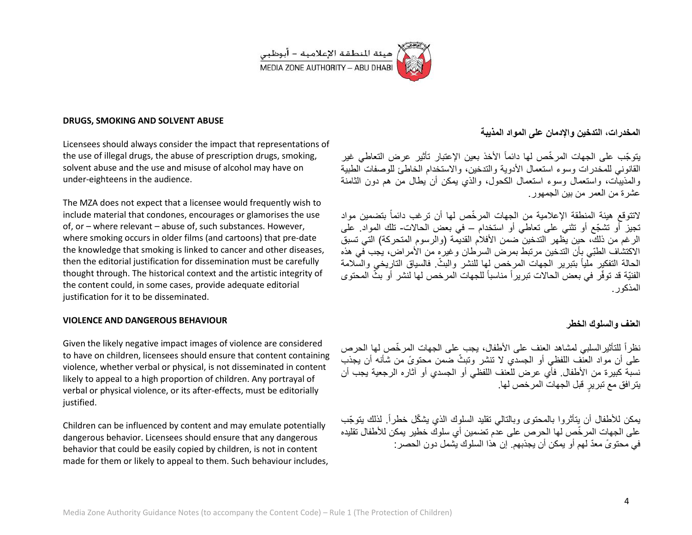

#### **DRUGS, SMOKING AND SOLVENT ABUSE**

Licensees should always consider the impact that representations of the use of illegal drugs, the abuse of prescription drugs, smoking, solvent abuse and the use and misuse of alcohol may have on under-eighteens in the audience.

The MZA does not expect that a licensee would frequently wish to include material that condones, encourages or glamorises the use of, or – where relevant – abuse of, such substances. However, where smoking occurs in older films (and cartoons) that pre-date the knowledge that smoking is linked to cancer and other diseases, then the editorial justification for dissemination must be carefully thought through. The historical context and the artistic integrity of the content could, in some cases, provide adequate editorial justification for it to be disseminated.

#### **VIOLENCE AND DANGEROUS BEHAVIOUR**

Given the likely negative impact images of violence are considered to have on children, licensees should ensure that content containing violence, whether verbal or physical, is not disseminated in content likely to appeal to a high proportion of children. Any portrayal of verbal or physical violence, or its after-effects, must be editorially justified.

Children can be influenced by content and may emulate potentially dangerous behavior. Licensees should ensure that any dangerous behavior that could be easily copied by children, is not in content made for them or likely to appeal to them. Such behaviour includes,

## **المخدرات، التدخٌن واإلدمان على المواد المذٌبة**

يتوجّب على الجهات المرخّص لها دائماً الأخذ بعين الإعتبار تأثير عرض التعاطي غير القانوني للمخدر ات وسوء استعمال الأدوية والتدخين، والاستخدام الخاطئ للوصفات الطبية والمذببات، واستعمال وسوء استعمال الكحول، والذي بمكن أن بطال من هم دون الثامنة عشر ة من العمر من بين الجمهور.

لاتتوقع هيئة المنطقة الإعلامية من الجهات المرخّص لها أن ترغب دائماً بتضمين مواد تجيز أو تشجّع أو تثني على تعاطى أو استخدام – في بعض الحالات- تلك المواد. على الر غم من ذلك، حين يظهر التدخين ضمن الأفلام القديمة (والرسوم المتحركة) التي تسبق الاكتشاف الطبِّي بأن التدخين مرتبط بمرض السرطان وغيره من الأمراض، يجب في هذه الحالة التفكير مّلياً بتبرير الجهات المرخص لها للنشر والبثّ فالسياق التاريخي والسّلامة الفنيّة قد توفّر في بعض الحالات تبريراً مناسباً للجهات المرخص لها لنشر أو بثّ المحتوى المذكور.

### **العنف والسلوك الخطر**

نظراً للتأثيرالسلبي لمشاهد العنف على الأطفال، يجب على الجهات المرخّص لها الحرص على أن مواد العنّف اللفظي أو الجسدي لا تنشر وتبثّ ضمن محتوىً من شأنه أن يجذب نسبة كبيرة من الأطفال. فأي عرض للعنف اللفظي أو الجسدي أو آثاره الرجعية يجب أن يتر افق مع تبريرٍ قبل الجهات المرخص لها.

يمكن للأطفال أن يتأثروا بالمحتوى وبالتالي تقليد السلوك الذي يشكّل خطراً. لذلك يتوجّب على الجهات المر خّص لها الحرص على عدم تضمين أي سلوكٌ خطير ۖ بمكن للأطفال تقليده في محتوِيّ معدّ لهم أو يمكن أن يجذبهم. إن هذا السلوك يشمل دون الحصر :

Media Zone Authority Guidance Notes (to accompany the Content Code) – Rule 1 (The Protection of Children)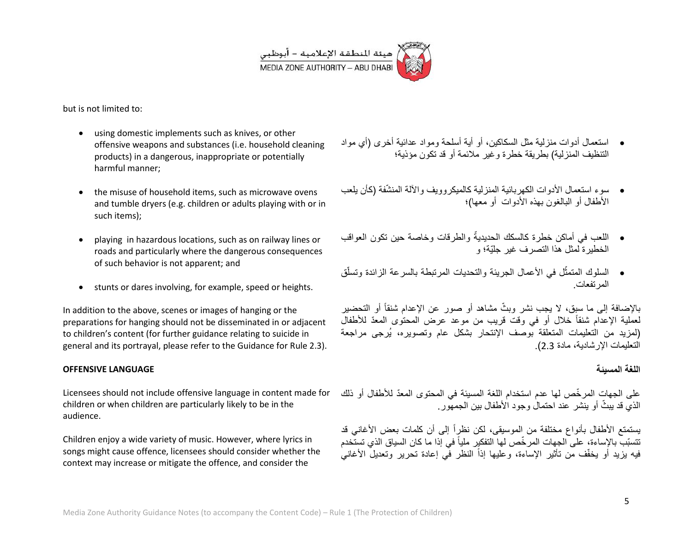

but is not limited to:

- using domestic implements such as knives, or other offensive weapons and substances (i.e. household cleaning products) in a dangerous, inappropriate or potentially harmful manner;
- the misuse of household items, such as microwave ovens and tumble dryers (e.g. children or adults playing with or in such items);
- playing in hazardous locations, such as on railway lines or roads and particularly where the dangerous consequences of such behavior is not apparent; and
- stunts or dares involving, for example, speed or heights.

In addition to the above, scenes or images of hanging or the preparations for hanging should not be disseminated in or adjacent to children's content (for further guidance relating to suicide in general and its portrayal, please refer to the Guidance for Rule 2.3).

#### **OFFENSIVE LANGUAGE**

Licensees should not include offensive language in content made for children or when children are particularly likely to be in the audience.

Children enjoy a wide variety of music. However, where lyrics in songs might cause offence, licensees should consider whether the context may increase or mitigate the offence, and consider the

- استعمال أدوات منزلية مثل السكاكين، أو أية أسلحة ومواد عدائية أخرى (أي مواد التنظيف المنز لية) بطر بقة خطرة وغير ملائمة أو قد تكون مؤذية؛
- سوء استعمال الأدوات الكهر بائية المنز لية كالميكر وويف والآلة المنشّفة (كأن يلعب الأطفال أو البالغون بهذه الأدوات أو معها)؛
- اللعب في أماكن خطرة كالسكك الحديديةُ والطرقات وخاصة حين تكون العواقب ٌ<br>ما الخطير ة لمثل هذا التصر ف غير جليّة؛ و
- السلوك المتمثّل في الأعمال الجريئة والتحديات المرتبطة بالسرعة الزائدة وتسلّق ֧֧֦֧֦֧֦֧֧֦֧֪֦֧֪֦֧֦֟֟֓֕֓֕֓֝֝֬֝֬֟֓֝֬֟֝֬֟֝֬֓֞֓**֓** المرتفعات.

بالإضافة إلى ما سبق، لا يجب نشر وبثّ مشاهد أو صور عن الإعدام شنقاً أو التحضير لعملية الإعدام شنقاً خلال أو في وقت قريب من موعد عرض المحتوى المعدّ للأطفال (لمزيد من التعليمات المتعلقة بوصف الإنتحار بشكل عام وتصويره، يُرجى مراجعة التعليمات الإر شادية، مادة 2.3).

## اللغة المسيئة

على الجهات المرخّص لها عدم استخدام اللغة المسيئة في المحتوى المعدّ للأطفال أو ذلك الذي قد بيثٌ أو ينشر ِ عند احتمال وجود الأطفال بين الجمهور

يستمتع الأطفال بأنواع مختلفة من الموسيقى، لكن نظراً إلى أن كلمات بعض الأغاني قد تتسبّب بالإساءة، على الجهات المرخّص لها التفكير ملياً فى إذا ما كان السياق الذي تستّخدم فيه بزيد أو يخفّف من تأثير الإساءة، وعليها إذاً النظر في إعادة تحرير وتعديلٌ الأغانيُ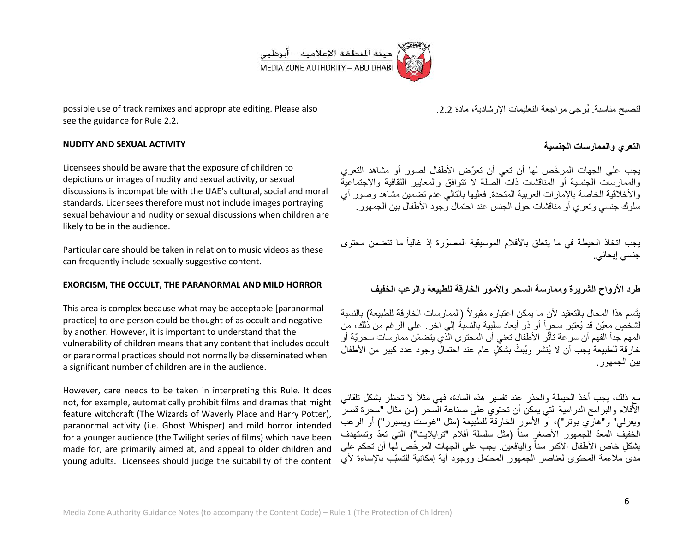

possible use of track remixes and appropriate editing. Please also see the guidance for Rule 2.2.

### **NUDITY AND SEXUAL ACTIVITY**

Licensees should be aware that the exposure of children to depictions or images of nudity and sexual activity, or sexual discussions is incompatible with the UAE's cultural, social and moral standards. Licensees therefore must not include images portraying sexual behaviour and nudity or sexual discussions when children are likely to be in the audience.

Particular care should be taken in relation to music videos as these can frequently include sexually suggestive content.

#### **EXORCISM, THE OCCULT, THE PARANORMAL AND MILD HORROR**

This area is complex because what may be acceptable [paranormal practice] to one person could be thought of as occult and negative by another. However, it is important to understand that the vulnerability of children means that any content that includes occult or paranormal practices should not normally be disseminated when a significant number of children are in the audience.

However, care needs to be taken in interpreting this Rule. It does not, for example, automatically prohibit films and dramas that might feature witchcraft (The Wizards of Waverly Place and Harry Potter), paranormal activity (i.e. Ghost Whisper) and mild horror intended for a younger audience (the Twilight series of films) which have been made for, are primarily aimed at, and appeal to older children and young adults. Licensees should judge the suitability of the content

لتصبح مناسبة. يُرجى مراجعة التعليمات الإرشادية، مادة 2.2.

## **التعري والممارسات الجنسٌة**

يجب على الجهات المرخّص لها أن تعي أن تعرّض الأطفال لصور أو مشاهد التعري والممارسات الجنسية أو المناقشات ذات الصلة لا تتوافق والمعايير الثقافية والإجتماعية والأخلاقية الخاصة بالإمارات العربية المتحدة. فعليها بالتالي عدم تضمين مشاهد وصور أي سلوك جنسي وتعري أو مناقشات حول الجنس عند احتمال وجود الأطفال بين الجمهور

يجب اتخاذ الحيطة في ما يتعلق بالأفلام الموسيقية المصوّرة إذ غالباً ما تتضمن محتوى جنسي إيحائي.

## **طرد األرواح الشرٌرة وممارسة السحر واألمور الخارقة للطبٌعة والرعب الخفٌف**

يتّسم هذا المجال بالتعقيد لأن ما يمكن اعتباره مقبولاً (الممارسات الخارقة للطبيعة) بالنسبة لشخُصٍ معيّن قد يُعتبر سحرٍاً أو ذو أبعاد سلبية بالنسبة إلى أخر ـ على الرغم من ذلك، من المهم جداً الفهم أن سر عة تأثّر الأطفال تعني أن المحتوى الّذي يتضمّن ممارسات سحريّة أو خارقة للطبيعة يجب أن لا يُنشر ويُبثّ بشكل عام عند احتمال وجود عدد كبير من الأطفال ببِن الجمهور .

مع ذلك، يجب أخذ الحيطة والحذر عند تفسير هذه المادة، فهي مثلاً لا تحظر بشكل تلقائي الأفلام والبرامج الدرامية التي يمكن أن تحتوي على صناعة السحر (من مثال "سحرة قصر ويفرلي" و"هارّي بوتر")، أوّ الأمور الخارقة للطبيعة (مثل "غوستٌ ويسبرر") أو الرعب الخفيف المعدّ للجمهور الأصغر سناً (مثل سلسلة أفلاَم "توايلايت") التي تعدّ وتستهدف بشكل خاص الأطفال الأكبر سناً واليافعين. يجب على الجهات المرخّص لها أن تحكم على مدى ملاءمة المحتوى لعناصر الجمهور المحتمل ووجود أية إمكانية للتسبّب بالإساءة لأي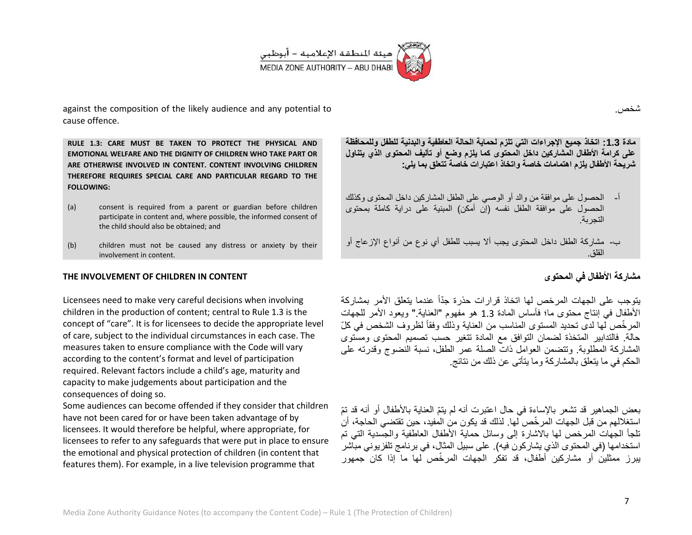

against the composition of the likely audience and any potential to cause offence.

**RULE 1.3: CARE MUST BE TAKEN TO PROTECT THE PHYSICAL AND EMOTIONAL WELFARE AND THE DIGNITY OF CHILDREN WHO TAKE PART OR ARE OTHERWISE INVOLVED IN CONTENT. CONTENT INVOLVING CHILDREN THEREFORE REQUIRES SPECIAL CARE AND PARTICULAR REGARD TO THE FOLLOWING:** 

- (a) consent is required from a parent or guardian before children participate in content and, where possible, the informed consent of the child should also be obtained; and
- (b) children must not be caused any distress or anxiety by their involvement in content.

### **THE INVOLVEMENT OF CHILDREN IN CONTENT**

Licensees need to make very careful decisions when involving children in the production of content; central to Rule 1.3 is the concept of "care". It is for licensees to decide the appropriate level of care, subject to the individual circumstances in each case. The measures taken to ensure compliance with the Code will vary according to the content's format and level of participation required. Relevant factors include a child's age, maturity and capacity to make judgements about participation and the consequences of doing so.

Some audiences can become offended if they consider that children have not been cared for or have been taken advantage of by licensees. It would therefore be helpful, where appropriate, for licensees to refer to any safeguards that were put in place to ensure the emotional and physical protection of children (in content that features them). For example, in a live television programme that

مادة 1.3: اتخاذ جميع الإجراءات التي تلزم لحماية الحالة العاطفية والبدنية للطفل وللمحافظة على كرامة الأطفال المشاركين داخل المحتوى كما يلزم وضع أو تأليف المحتوى الذي يتناول شريحة الأطفال يلزم اهتمامات خاصة واتخاذ اعتبارات خاصة تتعلق بما يل*ي*:

- أ- الحصول على موافقة من والد أو الوصى على الطفل المشاركين داخل المحتوى وكذلك الحصول على موافقة الطفل نفسه )إن أمكن( المبنٌة على دراٌة كاملة بمحتوى التجربة.
- ب- مشاركة الطفل داخل المحتوى ٌجب أال ٌسبب للطفل أي نوع من أنواع اإلزعاج أو القلق.

## **مشاركة األطفال فً المحتوى**

يتوجب على الجهات المرخص لها اتخاذ قرارات حذرة جدّاً عندما يتعلق الأمر بمشاركة الأطفال في إنتاج محتوى ما؛ فأساس المادة 1.3 هو مفهوم "العناية." ويعود الأمر للجهات المرخَّص لها لدى تحديد المستوى المناسب من العناية وذلك وفقاً لظروف الشخص في كلّ حالة. فالتدابير المتخذة لضمان التوافق مع المادة تتغير حسب تصميم المحتوى ومستوى المشاركة المطلوبة. وتتضمن العوامل ذات الصلة عمر الطفل، نسبة النضوج وقدرته على الحكم في ما يتعلق بالمشاركة وما يتأتى عن ذلك من نتائج.

بعض الجماهير قد تشعر بالإساءة في حال اعتبر ت أنه لم يتمّ العناية بالأطفال أو أنه قد تمّ استغلالهم من قبل الجهات المر خّص لها. لذلك قد يكون من المفيد، حين تقتضي الحاجة، أن تلجأ الجهات المرخص لها بالاشارة إلى وسائل حماية الأطفال العاطفية والجسدية التي تم استخدامها (في المحتوى الذي يشاركون فيه). على سبيل المثال، في برنامج تلفزيوني مباشر ببرز ممثلين أو مشار كين أطفال، قد تفكّر الجهات المر خّص لها ما إذا كان ًجمهور

شخص.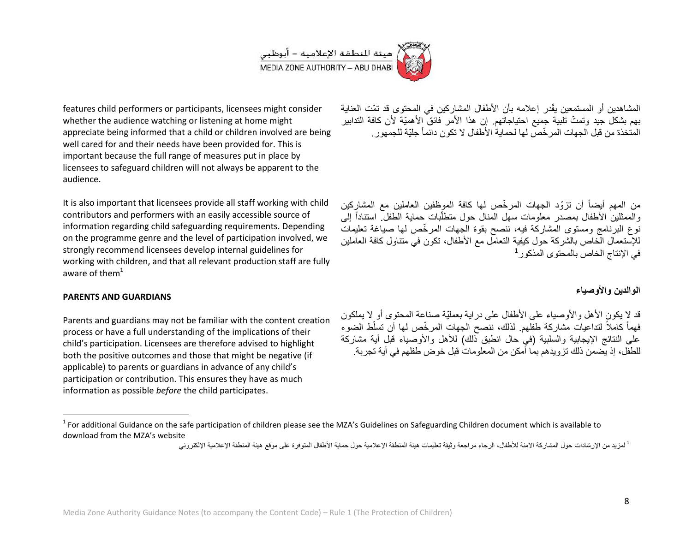

features child performers or participants, licensees might consider whether the audience watching or listening at home might appreciate being informed that a child or children involved are being well cared for and their needs have been provided for. This is important because the full range of measures put in place by licensees to safeguard children will not always be apparent to the audience.

It is also important that licensees provide all staff working with child contributors and performers with an easily accessible source of information regarding child safeguarding requirements. Depending on the programme genre and the level of participation involved, we strongly recommend licensees develop internal guidelines for working with children, and that all relevant production staff are fully aware of them $1$ 

#### **PARENTS AND GUARDIANS**

 $\overline{\phantom{a}}$ 

Parents and guardians may not be familiar with the content creation process or have a full understanding of the implications of their child's participation. Licensees are therefore advised to highlight both the positive outcomes and those that might be negative (if applicable) to parents or guardians in advance of any child's participation or contribution. This ensures they have as much information as possible *before* the child participates.

المشاهدين أو المستمعين يقّدر إعلامه بأن الأطفال المشاركين في المحتوى قد تمّت العناية بهم بشكل جيد وتمتّ تلبية جميع احتياجاتهم. إن هذا الأمر فائق الأهميّة لأن كافة التدابير المتخذة من قبل الجهات المر خّص لها لحماية الأطفال لا تكون دائماً جلّبة للجمهور.

من المهم أيضاً أن تزوّد الجهات المرخّص لها كافة الموظفين العاملين مع المشاركين والممثلين الأطفال بمصدر معلومات سهل المنال حول منطلّبات حماية الطفل استناداً إلى نوع البرنامج ومستوى المشاركة فيه، ننصح بقوة الجهات المرخَّص لها صياغة تعليمات للإستعمال الّخاص بالشركة حول كيفية التعامل مع الأطفال، تكون في متناول كافة العاملين  $^1$  في الإنتاج الخاص بالمحتوى المذكور

## الو الدين و الأوصيا*ء*

قد لا يكون الأهل والأوصياء على الأطفال على در اية بعمليّة صناعة المحتوى أو لا يملكون فهماً كاملاً لتداعيات مشاركة طفلهم. لذلك، ننصح الجهات المرخّص لها أن تسلّط الضوء على النتائج الإيجابية والسلبية (في حال انطبق ذلك) للأهل والأوصياء قبل أية مشاركة للطفل، إذ بِّضمن ذلك تز و بدهم بما أمكن من المعلومات قبل خوض طفلهم في أبة تجر بة.

 $^1$  For additional Guidance on the safe participation of children please see the MZA's Guidelines on Safeguarding Children document which is available to download from the MZA's website

لمزيد من الإرشادات حول المشاركة الأمنة للأطفال، الرجاء مراجعة وثيقة تعليمات هيئة المنطقة الإعلامية حول حماية الأطفال المتوفرة على موقع هيئة المنطقة الإعلامية الإلكتروني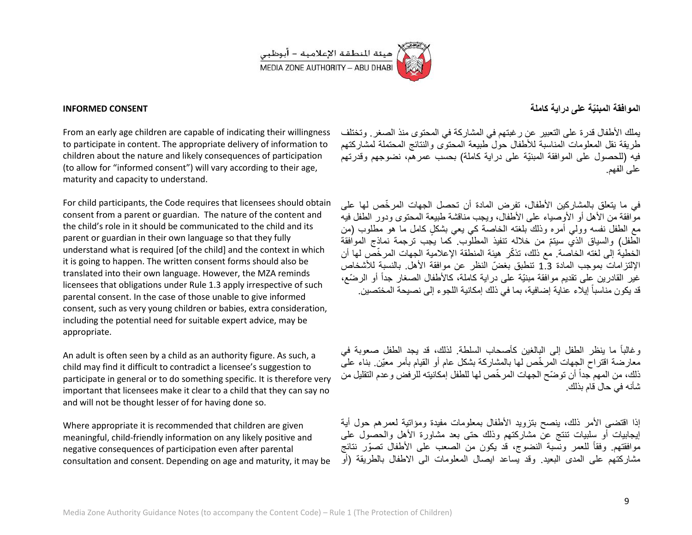

#### **INFORMED CONSENT**

From an early age children are capable of indicating their willingness to participate in content. The appropriate delivery of information to children about the nature and likely consequences of participation (to allow for "informed consent") will vary according to their age, maturity and capacity to understand.

For child participants, the Code requires that licensees should obtain consent from a parent or guardian. The nature of the content and the child's role in it should be communicated to the child and its parent or guardian in their own language so that they fully understand what is required [of the child] and the context in which it is going to happen. The written consent forms should also be translated into their own language. However, the MZA reminds licensees that obligations under Rule 1.3 apply irrespective of such parental consent. In the case of those unable to give informed consent, such as very young children or babies, extra consideration, including the potential need for suitable expert advice, may be appropriate.

An adult is often seen by a child as an authority figure. As such, a child may find it difficult to contradict a licensee's suggestion to participate in general or to do something specific. It is therefore very important that licensees make it clear to a child that they can say no and will not be thought lesser of for having done so.

Where appropriate it is recommended that children are given meaningful, child-friendly information on any likely positive and negative consequences of participation even after parental consultation and consent. Depending on age and maturity, it may be

**الموافقة المبنٌّة على دراٌة كاملة**

يملك الأطفال قدرة على التعبير عن رغبتهم في المشاركة في المحتوى منذ الصغر. وتختلف طر بقة نقل المعلومات المناسبة للأطفال حول طبيعة المحتوى والنتائج المحتملة لمشاركتهم فيه (للحصول على الموافقة المبنيّة على دراية كاملة) بحسب عمرهم، نضوجهم وقدرتهم على الفهم.

في ما بتعلق بالمشاركين الأطفال، تفرض المادة أن تحصل الجهات المر خّص لها على موَّافقة من الأهل أو الأوصياء على الأطفال، ويجب مناقشة طبيعة المحتوى ودور الطفل فيه مع الطفل نفسه وولَّى أمره وذلك بلغته الخاصة كي بعي بشكل كامل ما هو مطلوب (من الطّفل) والسباق الذي سبتمّ من خلاله تنفيذ المطلوب. كما بجب ترجمة نماذج الموافقة الخطية إلى لغته الخاصة. مع ذلك، تذكّر هيئة المنطقة الإعلامية الجهات المرخّص لها أن اإللتزامات بموجب المادة 3.2 تنطبق بغضّ النظر عن موافقة األهل. بالنسبة لألشخاص غير القادرين على تقديم موافقة مبنيّة على دراية كاملة، كالأطفال الصغار جداً أو الرضّع، قد يكون مناسباً إيلاء عناية إضافية، بما في ذلك إمكانية اللجوء إلى نصيحة المختصين.

وغالباً ما بنظر الطفل إلى البالغين كأصحاب السلطة. لذلك، قد بجد الطفل صعوبة في معارضة اقتراح الجهات المرخّص لها بالمشاركة بشكل عام أو القيام بأمر معيّن. بناء على ذلك، من المهم جداً أن توضّح الجهات المرخّص لها للطفل إمكانيته للرفض وعدم التقليل من شأنه في حال قام بذلك.

إذا اقتضى الأمر ذلك، ينصح بتزويد الأطفال بمعلومات مفيدة ومؤاتية لعمرهم حول أية إيجابيات أو سلبيات تنتج عن مشاركتهم وذلك حتى بعد مشاورة الأهل والحصول على موافقتهم. وفقاً للعمر ونسبة النضوج، قد يكون من الصعب على الأطفال تصوّر نتائج مشاركتهم على المدى البعيد. وقد يساعد ايصال المعلومات الى الاطفال بالطريقة (أو